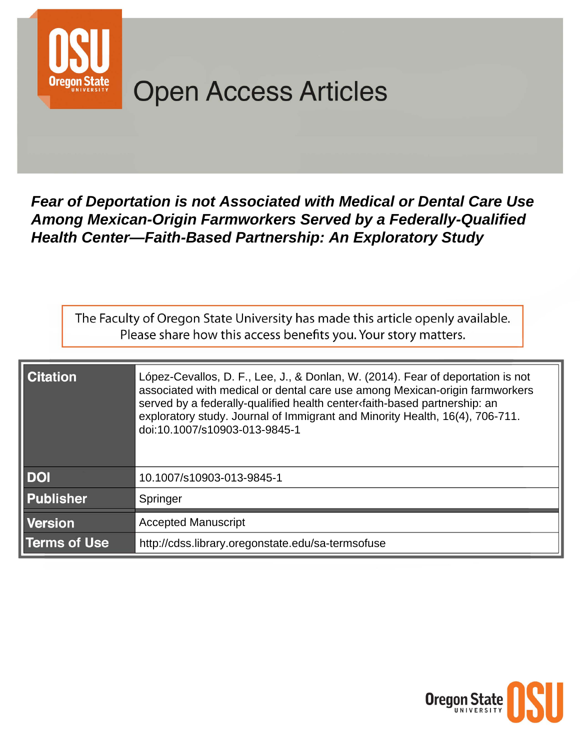

# **Open Access Articles**

Fear of Deportation is not Associated with Medical or Dental Care Use Among Mexican-Origin Farmworkers Served by a Federally-Qualified **Health Center-Faith-Based Partnership: An Exploratory Study** 

The Faculty of Oregon State University has made this article openly available. Please share how this access benefits you. Your story matters.

| <b>Citation</b>     | López-Cevallos, D. F., Lee, J., & Donlan, W. (2014). Fear of deportation is not<br>associated with medical or dental care use among Mexican-origin farmworkers<br>served by a federally-qualified health center faith-based partnership: an<br>exploratory study. Journal of Immigrant and Minority Health, 16(4), 706-711.<br>doi:10.1007/s10903-013-9845-1 |
|---------------------|--------------------------------------------------------------------------------------------------------------------------------------------------------------------------------------------------------------------------------------------------------------------------------------------------------------------------------------------------------------|
| <b>DOI</b>          | 10.1007/s10903-013-9845-1                                                                                                                                                                                                                                                                                                                                    |
| <b>Publisher</b>    | Springer                                                                                                                                                                                                                                                                                                                                                     |
| <b>Version</b>      | <b>Accepted Manuscript</b>                                                                                                                                                                                                                                                                                                                                   |
| <b>Terms of Use</b> | http://cdss.library.oregonstate.edu/sa-termsofuse                                                                                                                                                                                                                                                                                                            |

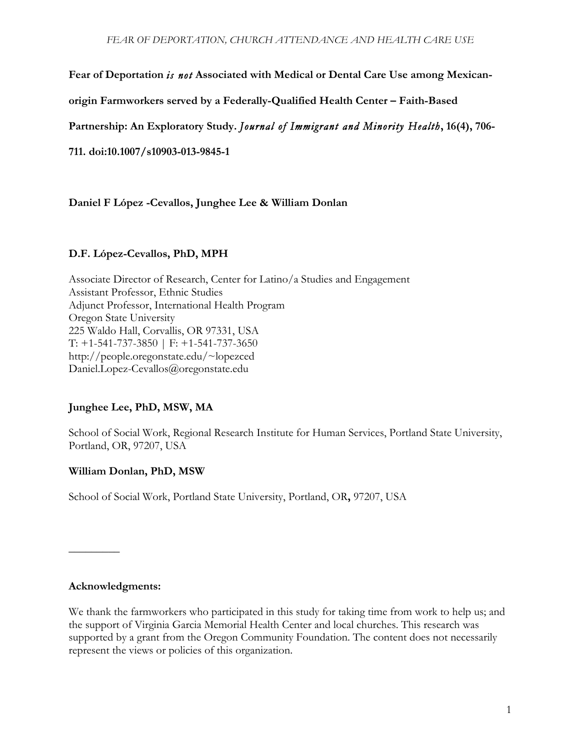**Fear of Deportation** *is not* **Associated with Medical or Dental Care Use among Mexican-**

**origin Farmworkers served by a Federally-Qualified Health Center – Faith-Based** 

**Partnership: An Exploratory Study.** *Journal of Immigrant and Minority Health***, 16(4), 706-**

**711. doi:10.1007/s10903-013-9845-1**

**Daniel F López -Cevallos, Junghee Lee & William Donlan**

## **D.F. López-Cevallos, PhD, MPH**

Associate Director of Research, Center for Latino/a Studies and Engagement Assistant Professor, Ethnic Studies Adjunct Professor, International Health Program Oregon State University 225 Waldo Hall, Corvallis, OR 97331, USA T: +1-541-737-3850 | F: +1-541-737-3650 http://people.oregonstate.edu/~lopezced Daniel.Lopez-Cevallos@oregonstate.edu

# **Junghee Lee, PhD, MSW, MA**

School of Social Work, Regional Research Institute for Human Services, Portland State University, Portland, OR, 97207, USA

# **William Donlan, PhD, MSW**

School of Social Work, Portland State University, Portland, OR**,** 97207, USA

## **Acknowledgments:**

**\_\_\_\_\_\_\_\_\_**

We thank the farmworkers who participated in this study for taking time from work to help us; and the support of Virginia Garcia Memorial Health Center and local churches. This research was supported by a grant from the Oregon Community Foundation. The content does not necessarily represent the views or policies of this organization.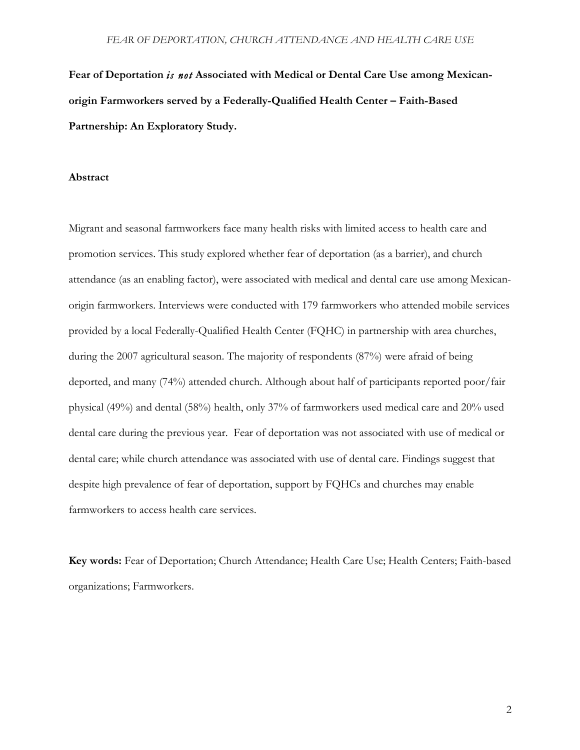**Fear of Deportation** *is not* **Associated with Medical or Dental Care Use among Mexicanorigin Farmworkers served by a Federally-Qualified Health Center – Faith-Based Partnership: An Exploratory Study.**

## **Abstract**

Migrant and seasonal farmworkers face many health risks with limited access to health care and promotion services. This study explored whether fear of deportation (as a barrier), and church attendance (as an enabling factor), were associated with medical and dental care use among Mexicanorigin farmworkers. Interviews were conducted with 179 farmworkers who attended mobile services provided by a local Federally-Qualified Health Center (FQHC) in partnership with area churches, during the 2007 agricultural season. The majority of respondents (87%) were afraid of being deported, and many (74%) attended church. Although about half of participants reported poor/fair physical (49%) and dental (58%) health, only 37% of farmworkers used medical care and 20% used dental care during the previous year. Fear of deportation was not associated with use of medical or dental care; while church attendance was associated with use of dental care. Findings suggest that despite high prevalence of fear of deportation, support by FQHCs and churches may enable farmworkers to access health care services.

**Key words:** Fear of Deportation; Church Attendance; Health Care Use; Health Centers; Faith-based organizations; Farmworkers.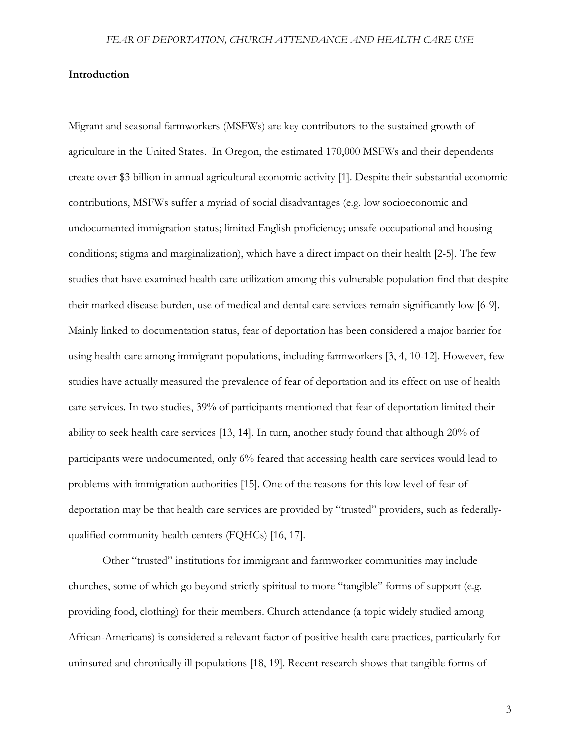## **Introduction**

Migrant and seasonal farmworkers (MSFWs) are key contributors to the sustained growth of agriculture in the United States. In Oregon, the estimated 170,000 MSFWs and their dependents create over \$3 billion in annual agricultural economic activity [1]. Despite their substantial economic contributions, MSFWs suffer a myriad of social disadvantages (e.g. low socioeconomic and undocumented immigration status; limited English proficiency; unsafe occupational and housing conditions; stigma and marginalization), which have a direct impact on their health [2-5]. The few studies that have examined health care utilization among this vulnerable population find that despite their marked disease burden, use of medical and dental care services remain significantly low [6-9]. Mainly linked to documentation status, fear of deportation has been considered a major barrier for using health care among immigrant populations, including farmworkers [3, 4, 10-12]. However, few studies have actually measured the prevalence of fear of deportation and its effect on use of health care services. In two studies, 39% of participants mentioned that fear of deportation limited their ability to seek health care services [13, 14]. In turn, another study found that although 20% of participants were undocumented, only 6% feared that accessing health care services would lead to problems with immigration authorities [15]. One of the reasons for this low level of fear of deportation may be that health care services are provided by "trusted" providers, such as federallyqualified community health centers (FQHCs) [16, 17].

Other "trusted" institutions for immigrant and farmworker communities may include churches, some of which go beyond strictly spiritual to more "tangible" forms of support (e.g. providing food, clothing) for their members. Church attendance (a topic widely studied among African-Americans) is considered a relevant factor of positive health care practices, particularly for uninsured and chronically ill populations [18, 19]. Recent research shows that tangible forms of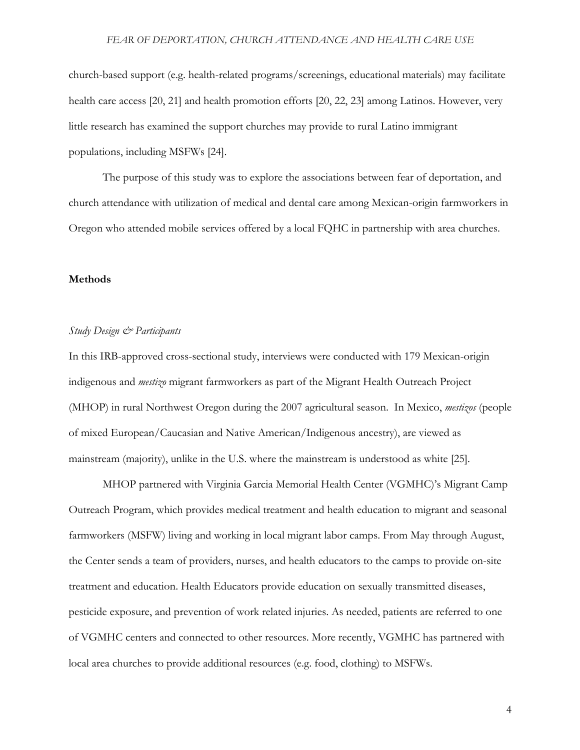church-based support (e.g. health-related programs/screenings, educational materials) may facilitate health care access [20, 21] and health promotion efforts [20, 22, 23] among Latinos. However, very little research has examined the support churches may provide to rural Latino immigrant populations, including MSFWs [24].

The purpose of this study was to explore the associations between fear of deportation, and church attendance with utilization of medical and dental care among Mexican-origin farmworkers in Oregon who attended mobile services offered by a local FQHC in partnership with area churches.

#### **Methods**

#### *Study Design & Participants*

In this IRB-approved cross-sectional study, interviews were conducted with 179 Mexican-origin indigenous and *mestizo* migrant farmworkers as part of the Migrant Health Outreach Project (MHOP) in rural Northwest Oregon during the 2007 agricultural season. In Mexico, *mestizos* (people of mixed European/Caucasian and Native American/Indigenous ancestry), are viewed as mainstream (majority), unlike in the U.S. where the mainstream is understood as white [25].

MHOP partnered with Virginia Garcia Memorial Health Center (VGMHC)'s Migrant Camp Outreach Program, which provides medical treatment and health education to migrant and seasonal farmworkers (MSFW) living and working in local migrant labor camps. From May through August, the Center sends a team of providers, nurses, and health educators to the camps to provide on-site treatment and education. Health Educators provide education on sexually transmitted diseases, pesticide exposure, and prevention of work related injuries. As needed, patients are referred to one of VGMHC centers and connected to other resources. More recently, VGMHC has partnered with local area churches to provide additional resources (e.g. food, clothing) to MSFWs.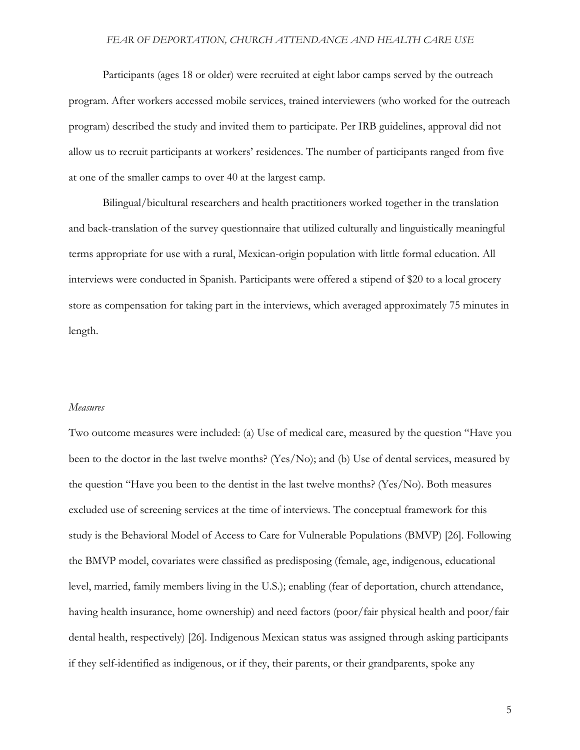Participants (ages 18 or older) were recruited at eight labor camps served by the outreach program. After workers accessed mobile services, trained interviewers (who worked for the outreach program) described the study and invited them to participate. Per IRB guidelines, approval did not allow us to recruit participants at workers' residences. The number of participants ranged from five at one of the smaller camps to over 40 at the largest camp.

Bilingual/bicultural researchers and health practitioners worked together in the translation and back-translation of the survey questionnaire that utilized culturally and linguistically meaningful terms appropriate for use with a rural, Mexican-origin population with little formal education. All interviews were conducted in Spanish. Participants were offered a stipend of \$20 to a local grocery store as compensation for taking part in the interviews, which averaged approximately 75 minutes in length.

## *Measures*

Two outcome measures were included: (a) Use of medical care, measured by the question "Have you been to the doctor in the last twelve months? (Yes/No); and (b) Use of dental services, measured by the question "Have you been to the dentist in the last twelve months? (Yes/No). Both measures excluded use of screening services at the time of interviews. The conceptual framework for this study is the Behavioral Model of Access to Care for Vulnerable Populations (BMVP) [26]. Following the BMVP model, covariates were classified as predisposing (female, age, indigenous, educational level, married, family members living in the U.S.); enabling (fear of deportation, church attendance, having health insurance, home ownership) and need factors (poor/fair physical health and poor/fair dental health, respectively) [26]. Indigenous Mexican status was assigned through asking participants if they self-identified as indigenous, or if they, their parents, or their grandparents, spoke any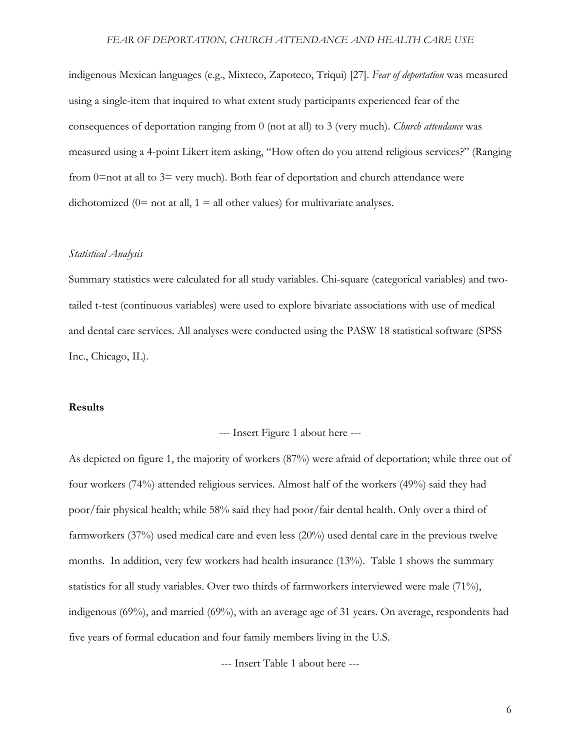indigenous Mexican languages (e.g., Mixteco, Zapoteco, Triqui) [27]. *Fear of deportation* was measured using a single-item that inquired to what extent study participants experienced fear of the consequences of deportation ranging from 0 (not at all) to 3 (very much). *Church attendance* was measured using a 4-point Likert item asking, "How often do you attend religious services?" (Ranging from 0=not at all to 3= very much). Both fear of deportation and church attendance were dichotomized ( $0=$  not at all,  $1 =$  all other values) for multivariate analyses.

#### *Statistical Analysis*

Summary statistics were calculated for all study variables. Chi-square (categorical variables) and twotailed t-test (continuous variables) were used to explore bivariate associations with use of medical and dental care services. All analyses were conducted using the PASW 18 statistical software (SPSS Inc., Chicago, IL).

## **Results**

--- Insert Figure 1 about here ---

As depicted on figure 1, the majority of workers (87%) were afraid of deportation; while three out of four workers (74%) attended religious services. Almost half of the workers (49%) said they had poor/fair physical health; while 58% said they had poor/fair dental health. Only over a third of farmworkers (37%) used medical care and even less (20%) used dental care in the previous twelve months. In addition, very few workers had health insurance (13%). Table 1 shows the summary statistics for all study variables. Over two thirds of farmworkers interviewed were male (71%), indigenous (69%), and married (69%), with an average age of 31 years. On average, respondents had five years of formal education and four family members living in the U.S.

--- Insert Table 1 about here ---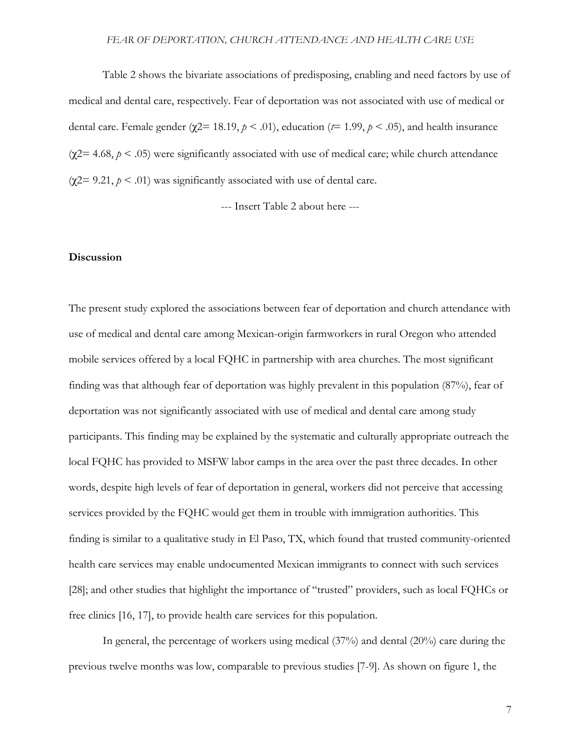Table 2 shows the bivariate associations of predisposing, enabling and need factors by use of medical and dental care, respectively. Fear of deportation was not associated with use of medical or dental care. Female gender (χ2= 18.19, *p* < .01), education (*t*= 1.99, *p* < .05), and health insurance (χ2= 4.68, *p* < .05) were significantly associated with use of medical care; while church attendance (χ2= 9.21, *p* < .01) was significantly associated with use of dental care.

--- Insert Table 2 about here ---

#### **Discussion**

The present study explored the associations between fear of deportation and church attendance with use of medical and dental care among Mexican-origin farmworkers in rural Oregon who attended mobile services offered by a local FQHC in partnership with area churches. The most significant finding was that although fear of deportation was highly prevalent in this population (87%), fear of deportation was not significantly associated with use of medical and dental care among study participants. This finding may be explained by the systematic and culturally appropriate outreach the local FQHC has provided to MSFW labor camps in the area over the past three decades. In other words, despite high levels of fear of deportation in general, workers did not perceive that accessing services provided by the FQHC would get them in trouble with immigration authorities. This finding is similar to a qualitative study in El Paso, TX, which found that trusted community-oriented health care services may enable undocumented Mexican immigrants to connect with such services [28]; and other studies that highlight the importance of "trusted" providers, such as local FQHCs or free clinics [16, 17], to provide health care services for this population.

In general, the percentage of workers using medical (37%) and dental (20%) care during the previous twelve months was low, comparable to previous studies [7-9]. As shown on figure 1, the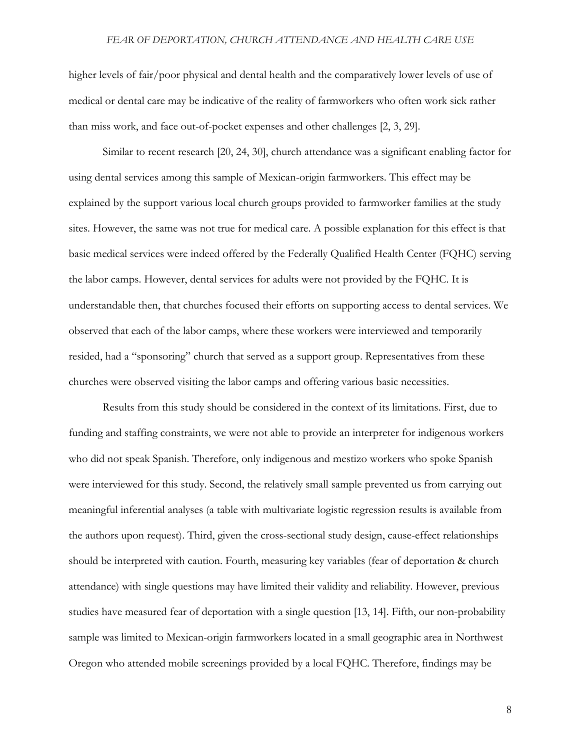higher levels of fair/poor physical and dental health and the comparatively lower levels of use of medical or dental care may be indicative of the reality of farmworkers who often work sick rather than miss work, and face out-of-pocket expenses and other challenges [2, 3, 29].

Similar to recent research [20, 24, 30], church attendance was a significant enabling factor for using dental services among this sample of Mexican-origin farmworkers. This effect may be explained by the support various local church groups provided to farmworker families at the study sites. However, the same was not true for medical care. A possible explanation for this effect is that basic medical services were indeed offered by the Federally Qualified Health Center (FQHC) serving the labor camps. However, dental services for adults were not provided by the FQHC. It is understandable then, that churches focused their efforts on supporting access to dental services. We observed that each of the labor camps, where these workers were interviewed and temporarily resided, had a "sponsoring" church that served as a support group. Representatives from these churches were observed visiting the labor camps and offering various basic necessities.

Results from this study should be considered in the context of its limitations. First, due to funding and staffing constraints, we were not able to provide an interpreter for indigenous workers who did not speak Spanish. Therefore, only indigenous and mestizo workers who spoke Spanish were interviewed for this study. Second, the relatively small sample prevented us from carrying out meaningful inferential analyses (a table with multivariate logistic regression results is available from the authors upon request). Third, given the cross-sectional study design, cause-effect relationships should be interpreted with caution. Fourth, measuring key variables (fear of deportation & church attendance) with single questions may have limited their validity and reliability. However, previous studies have measured fear of deportation with a single question [13, 14]. Fifth, our non-probability sample was limited to Mexican-origin farmworkers located in a small geographic area in Northwest Oregon who attended mobile screenings provided by a local FQHC. Therefore, findings may be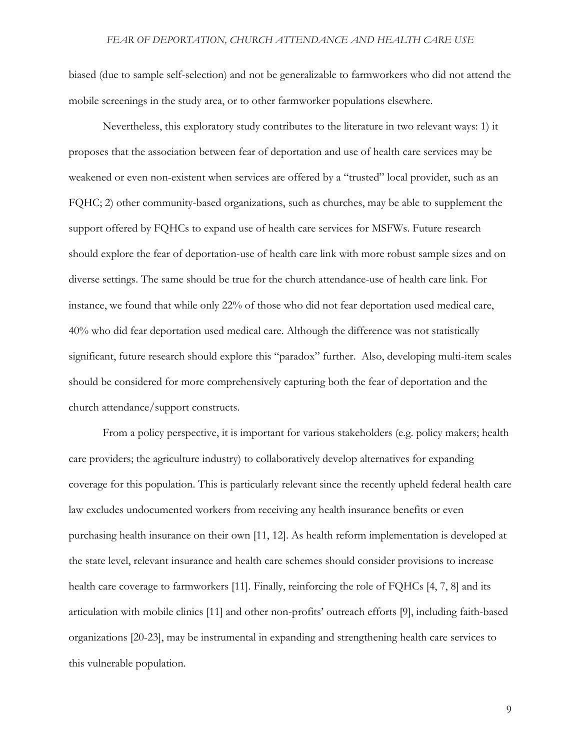biased (due to sample self-selection) and not be generalizable to farmworkers who did not attend the mobile screenings in the study area, or to other farmworker populations elsewhere.

Nevertheless, this exploratory study contributes to the literature in two relevant ways: 1) it proposes that the association between fear of deportation and use of health care services may be weakened or even non-existent when services are offered by a "trusted" local provider, such as an FQHC; 2) other community-based organizations, such as churches, may be able to supplement the support offered by FQHCs to expand use of health care services for MSFWs. Future research should explore the fear of deportation-use of health care link with more robust sample sizes and on diverse settings. The same should be true for the church attendance-use of health care link. For instance, we found that while only 22% of those who did not fear deportation used medical care, 40% who did fear deportation used medical care. Although the difference was not statistically significant, future research should explore this "paradox" further. Also, developing multi-item scales should be considered for more comprehensively capturing both the fear of deportation and the church attendance/support constructs.

From a policy perspective, it is important for various stakeholders (e.g. policy makers; health care providers; the agriculture industry) to collaboratively develop alternatives for expanding coverage for this population. This is particularly relevant since the recently upheld federal health care law excludes undocumented workers from receiving any health insurance benefits or even purchasing health insurance on their own [11, 12]. As health reform implementation is developed at the state level, relevant insurance and health care schemes should consider provisions to increase health care coverage to farmworkers [11]. Finally, reinforcing the role of FQHCs [4, 7, 8] and its articulation with mobile clinics [11] and other non-profits' outreach efforts [9], including faith-based organizations [20-23], may be instrumental in expanding and strengthening health care services to this vulnerable population.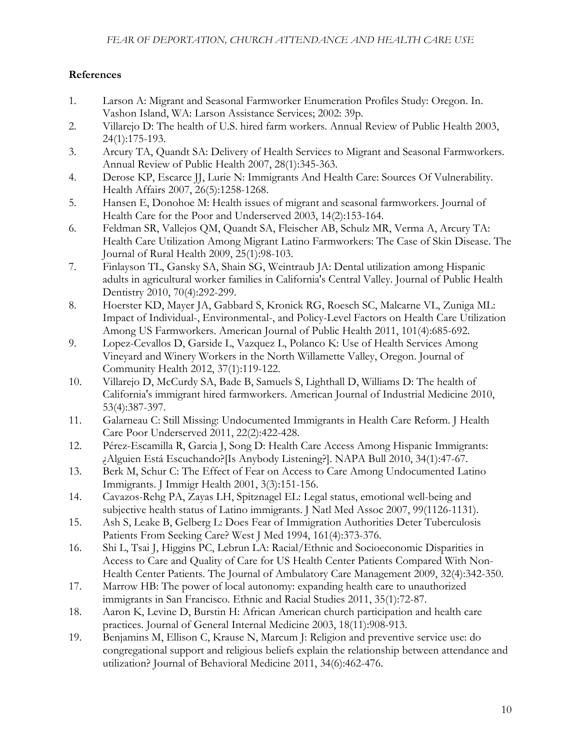# **References**

- 1. Larson A: Migrant and Seasonal Farmworker Enumeration Profiles Study: Oregon. In. Vashon Island, WA: Larson Assistance Services; 2002: 39p.
- 2. Villarejo D: The health of U.S. hired farm workers. Annual Review of Public Health 2003, 24(1):175-193.
- 3. Arcury TA, Quandt SA: Delivery of Health Services to Migrant and Seasonal Farmworkers. Annual Review of Public Health 2007, 28(1):345-363.
- 4. Derose KP, Escarce JJ, Lurie N: Immigrants And Health Care: Sources Of Vulnerability. Health Affairs 2007, 26(5):1258-1268.
- 5. Hansen E, Donohoe M: Health issues of migrant and seasonal farmworkers. Journal of Health Care for the Poor and Underserved 2003, 14(2):153-164.
- 6. Feldman SR, Vallejos QM, Quandt SA, Fleischer AB, Schulz MR, Verma A, Arcury TA: Health Care Utilization Among Migrant Latino Farmworkers: The Case of Skin Disease. The Journal of Rural Health 2009, 25(1):98-103.
- 7. Finlayson TL, Gansky SA, Shain SG, Weintraub JA: Dental utilization among Hispanic adults in agricultural worker families in California's Central Valley. Journal of Public Health Dentistry 2010, 70(4):292-299.
- 8. Hoerster KD, Mayer JA, Gabbard S, Kronick RG, Roesch SC, Malcarne VL, Zuniga ML: Impact of Individual-, Environmental-, and Policy-Level Factors on Health Care Utilization Among US Farmworkers. American Journal of Public Health 2011, 101(4):685-692.
- 9. Lopez-Cevallos D, Garside L, Vazquez L, Polanco K: Use of Health Services Among Vineyard and Winery Workers in the North Willamette Valley, Oregon. Journal of Community Health 2012, 37(1):119-122.
- 10. Villarejo D, McCurdy SA, Bade B, Samuels S, Lighthall D, Williams D: The health of California's immigrant hired farmworkers. American Journal of Industrial Medicine 2010, 53(4):387-397.
- 11. Galarneau C: Still Missing: Undocumented Immigrants in Health Care Reform. J Health Care Poor Underserved 2011, 22(2):422-428.
- 12. Pérez-Escamilla R, Garcia J, Song D: Health Care Access Among Hispanic Immigrants: ¿Alguien Está Escuchando?[Is Anybody Listening?]. NAPA Bull 2010, 34(1):47-67.
- 13. Berk M, Schur C: The Effect of Fear on Access to Care Among Undocumented Latino Immigrants. J Immigr Health 2001, 3(3):151-156.
- 14. Cavazos-Rehg PA, Zayas LH, Spitznagel EL: Legal status, emotional well-being and subjective health status of Latino immigrants. J Natl Med Assoc 2007, 99(1126-1131).
- 15. Ash S, Leake B, Gelberg L: Does Fear of Immigration Authorities Deter Tuberculosis Patients From Seeking Care? West J Med 1994, 161(4):373-376.
- 16. Shi L, Tsai J, Higgins PC, Lebrun LA: Racial/Ethnic and Socioeconomic Disparities in Access to Care and Quality of Care for US Health Center Patients Compared With Non-Health Center Patients. The Journal of Ambulatory Care Management 2009, 32(4):342-350.
- 17. Marrow HB: The power of local autonomy: expanding health care to unauthorized immigrants in San Francisco. Ethnic and Racial Studies 2011, 35(1):72-87.
- 18. Aaron K, Levine D, Burstin H: African American church participation and health care practices. Journal of General Internal Medicine 2003, 18(11):908-913.
- 19. Benjamins M, Ellison C, Krause N, Marcum J: Religion and preventive service use: do congregational support and religious beliefs explain the relationship between attendance and utilization? Journal of Behavioral Medicine 2011, 34(6):462-476.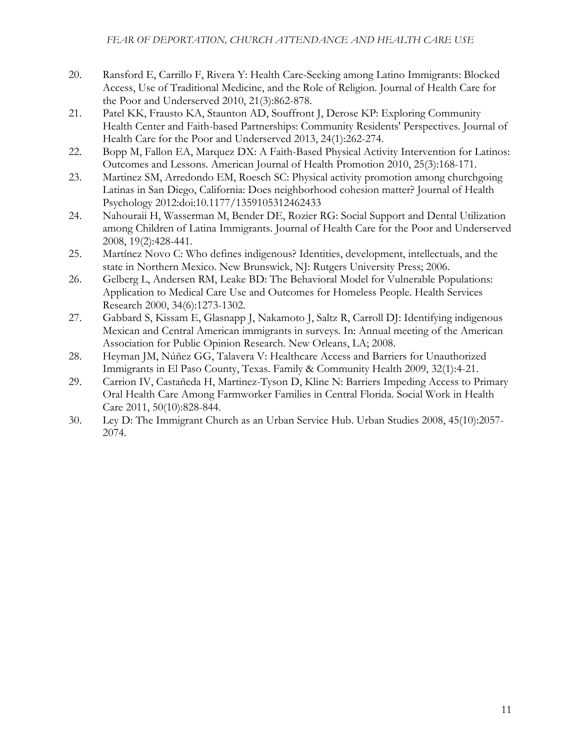- 20. Ransford E, Carrillo F, Rivera Y: Health Care-Seeking among Latino Immigrants: Blocked Access, Use of Traditional Medicine, and the Role of Religion. Journal of Health Care for the Poor and Underserved 2010, 21(3):862-878.
- 21. Patel KK, Frausto KA, Staunton AD, Souffront J, Derose KP: Exploring Community Health Center and Faith-based Partnerships: Community Residents' Perspectives. Journal of Health Care for the Poor and Underserved 2013, 24(1):262-274.
- 22. Bopp M, Fallon EA, Marquez DX: A Faith-Based Physical Activity Intervention for Latinos: Outcomes and Lessons. American Journal of Health Promotion 2010, 25(3):168-171.
- 23. Martinez SM, Arredondo EM, Roesch SC: Physical activity promotion among churchgoing Latinas in San Diego, California: Does neighborhood cohesion matter? Journal of Health Psychology 2012:doi:10.1177/1359105312462433
- 24. Nahouraii H, Wasserman M, Bender DE, Rozier RG: Social Support and Dental Utilization among Children of Latina Immigrants. Journal of Health Care for the Poor and Underserved 2008, 19(2):428-441.
- 25. Martínez Novo C: Who defines indigenous? Identities, development, intellectuals, and the state in Northern Mexico. New Brunswick, NJ: Rutgers University Press; 2006.
- 26. Gelberg L, Andersen RM, Leake BD: The Behavioral Model for Vulnerable Populations: Application to Medical Care Use and Outcomes for Homeless People. Health Services Research 2000, 34(6):1273-1302.
- 27. Gabbard S, Kissam E, Glasnapp J, Nakamoto J, Saltz R, Carroll DJ: Identifying indigenous Mexican and Central American immigrants in surveys. In: Annual meeting of the American Association for Public Opinion Research. New Orleans, LA; 2008.
- 28. Heyman JM, Núñez GG, Talavera V: Healthcare Access and Barriers for Unauthorized Immigrants in El Paso County, Texas. Family & Community Health 2009, 32(1):4-21.
- 29. Carrion IV, Castañeda H, Martinez-Tyson D, Kline N: Barriers Impeding Access to Primary Oral Health Care Among Farmworker Families in Central Florida. Social Work in Health Care 2011, 50(10):828-844.
- 30. Ley D: The Immigrant Church as an Urban Service Hub. Urban Studies 2008, 45(10):2057- 2074.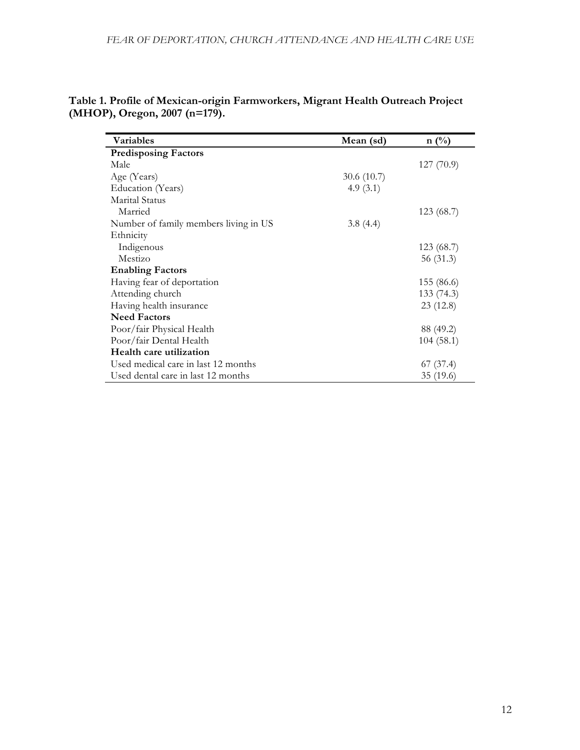| Variables                             | Mean (sd)  | $n(^{0}/_{0})$ |
|---------------------------------------|------------|----------------|
| <b>Predisposing Factors</b>           |            |                |
| Male                                  |            | 127(70.9)      |
| Age (Years)                           | 30.6(10.7) |                |
| Education (Years)                     | 4.9(3.1)   |                |
| Marital Status                        |            |                |
| Married                               |            | 123(68.7)      |
| Number of family members living in US | 3.8(4.4)   |                |
| Ethnicity                             |            |                |
| Indigenous                            |            | 123(68.7)      |
| Mestizo                               |            | 56 (31.3)      |
| <b>Enabling Factors</b>               |            |                |
| Having fear of deportation            |            | 155 (86.6)     |
| Attending church                      |            | 133 (74.3)     |
| Having health insurance               |            | 23(12.8)       |
| <b>Need Factors</b>                   |            |                |
| Poor/fair Physical Health             |            | 88 (49.2)      |
| Poor/fair Dental Health               |            | 104(58.1)      |
| Health care utilization               |            |                |
| Used medical care in last 12 months   |            | 67(37.4)       |
| Used dental care in last 12 months    |            | 35 (19.6)      |

| Table 1. Profile of Mexican-origin Farmworkers, Migrant Health Outreach Project |  |
|---------------------------------------------------------------------------------|--|
| (MHOP), Oregon, 2007 (n=179).                                                   |  |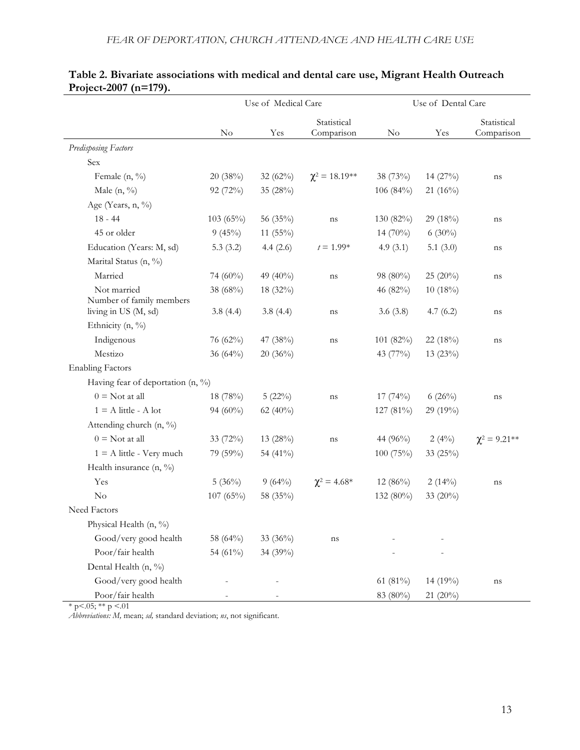|                                               | Use of Medical Care |             | Use of Dental Care        |             |             |                           |
|-----------------------------------------------|---------------------|-------------|---------------------------|-------------|-------------|---------------------------|
|                                               | No                  | Yes         | Statistical<br>Comparison | No          | Yes         | Statistical<br>Comparison |
| <b>Predisposing Factors</b>                   |                     |             |                           |             |             |                           |
| Sex                                           |                     |             |                           |             |             |                           |
| Female (n, %)                                 | 20(38%)             | 32 $(62\%)$ | $\chi^2 = 18.19^{**}$     | 38 (73%)    | 14 (27%)    | ns                        |
| Male $(n, \frac{9}{6})$                       | 92 (72%)            | 35 (28%)    |                           | 106 (84%)   | $21(16\%)$  |                           |
| Age (Years, n, %)                             |                     |             |                           |             |             |                           |
| $18 - 44$                                     | 103(65%)            | 56 (35%)    | ns                        | 130 (82%)   | 29(18%)     | ns                        |
| 45 or older                                   | 9(45%)              | 11 $(55\%)$ |                           | 14 $(70\%)$ | $6(30\%)$   |                           |
| Education (Years: M, sd)                      | 5.3(3.2)            | 4.4(2.6)    | $t = 1.99*$               | 4.9(3.1)    | 5.1 $(3.0)$ | ns                        |
| Marital Status (n, %)                         |                     |             |                           |             |             |                           |
| Married                                       | 74 (60%)            | 49 (40%)    | ns                        | 98 (80%)    | $25(20\%)$  | ns                        |
| Not married<br>Number of family members       | 38 (68%)            | 18 (32%)    |                           | 46 (82%)    | 10(18%)     |                           |
| living in US (M, sd)                          | 3.8(4.4)            | 3.8(4.4)    | ns                        | 3.6(3.8)    | 4.7(6.2)    | ns                        |
| Ethnicity (n, %)                              |                     |             |                           |             |             |                           |
| Indigenous                                    | 76 (62%)            | 47 (38%)    | ns                        | 101(82%)    | 22 (18%)    | ns                        |
| Mestizo                                       | 36 $(64\%)$         | $20(36\%)$  |                           | 43 (77%)    | $13(23\%)$  |                           |
| <b>Enabling Factors</b>                       |                     |             |                           |             |             |                           |
| Having fear of deportation $(n, \frac{9}{6})$ |                     |             |                           |             |             |                           |
| $0 = Not at all$                              | 18 (78%)            | $5(22\%)$   | ns                        | 17(74%)     | 6(26%)      | ns                        |
| $1 = A$ little - A lot                        | 94 $(60\%)$         | 62 (40%)    |                           | 127 (81%)   | 29 (19%)    |                           |
| Attending church (n, %)                       |                     |             |                           |             |             |                           |
| $0 = Not at all$                              | 33 (72%)            | 13 (28%)    | ns                        | 44 (96%)    | 2(4%)       | $\chi^2 = 9.21**$         |
| $1 = A$ little - Very much                    | 79 (59%)            | 54 (41%)    |                           | 100 (75%)   | 33 (25%)    |                           |
| Health insurance $(n, \frac{9}{6})$           |                     |             |                           |             |             |                           |
| Yes                                           | 5(36%)              | 9(64%)      | $\chi^2 = 4.68^*$         | $12(86\%)$  | $2(14\%)$   | ns                        |
| No                                            | 107(65%)            | 58 (35%)    |                           | 132 (80%)   | 33 (20%)    |                           |
| Need Factors                                  |                     |             |                           |             |             |                           |
| Physical Health (n, %)                        |                     |             |                           |             |             |                           |
| Good/very good health                         | 58 (64%)            | 33 (36%)    | ns                        |             |             |                           |
| Poor/fair health                              | 54 (61%)            | 34 (39%)    |                           |             |             |                           |
| Dental Health (n, %)                          |                     |             |                           |             |             |                           |
| Good/very good health                         |                     |             |                           | 61 (81%)    | 14 (19%)    | ns                        |
| Poor/fair health                              |                     |             |                           | 83 (80%)    | 21 (20%)    |                           |

# **Table 2. Bivariate associations with medical and dental care use, Migrant Health Outreach Project-2007 (n=179).**

 $*$  p <.05;  $**$  p <.01

*Abbreviations: M,* mean; *sd,* standard deviation; *ns*, not significant.